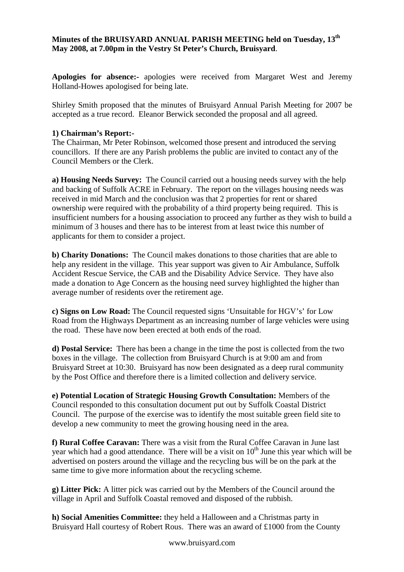## **Minutes of the BRUISYARD ANNUAL PARISH MEETING held on Tuesday, 13th May 2008, at 7.00pm in the Vestry St Peter's Church, Bruisyard**.

**Apologies for absence:-** apologies were received from Margaret West and Jeremy Holland-Howes apologised for being late.

Shirley Smith proposed that the minutes of Bruisyard Annual Parish Meeting for 2007 be accepted as a true record. Eleanor Berwick seconded the proposal and all agreed.

## **1) Chairman's Report:-**

The Chairman, Mr Peter Robinson, welcomed those present and introduced the serving councillors. If there are any Parish problems the public are invited to contact any of the Council Members or the Clerk.

**a) Housing Needs Survey:** The Council carried out a housing needs survey with the help and backing of Suffolk ACRE in February. The report on the villages housing needs was received in mid March and the conclusion was that 2 properties for rent or shared ownership were required with the probability of a third property being required. This is insufficient numbers for a housing association to proceed any further as they wish to build a minimum of 3 houses and there has to be interest from at least twice this number of applicants for them to consider a project.

**b) Charity Donations:** The Council makes donations to those charities that are able to help any resident in the village. This year support was given to Air Ambulance, Suffolk Accident Rescue Service, the CAB and the Disability Advice Service. They have also made a donation to Age Concern as the housing need survey highlighted the higher than average number of residents over the retirement age.

**c) Signs on Low Road:** The Council requested signs 'Unsuitable for HGV's' for Low Road from the Highways Department as an increasing number of large vehicles were using the road. These have now been erected at both ends of the road.

**d) Postal Service:** There has been a change in the time the post is collected from the two boxes in the village. The collection from Bruisyard Church is at 9:00 am and from Bruisyard Street at 10:30. Bruisyard has now been designated as a deep rural community by the Post Office and therefore there is a limited collection and delivery service.

**e) Potential Location of Strategic Housing Growth Consultation:** Members of the Council responded to this consultation document put out by Suffolk Coastal District Council. The purpose of the exercise was to identify the most suitable green field site to develop a new community to meet the growing housing need in the area.

**f) Rural Coffee Caravan:** There was a visit from the Rural Coffee Caravan in June last year which had a good attendance. There will be a visit on  $10<sup>th</sup>$  June this year which will be advertised on posters around the village and the recycling bus will be on the park at the same time to give more information about the recycling scheme.

**g) Litter Pick:** A litter pick was carried out by the Members of the Council around the village in April and Suffolk Coastal removed and disposed of the rubbish.

**h) Social Amenities Committee:** they held a Halloween and a Christmas party in Bruisyard Hall courtesy of Robert Rous. There was an award of £1000 from the County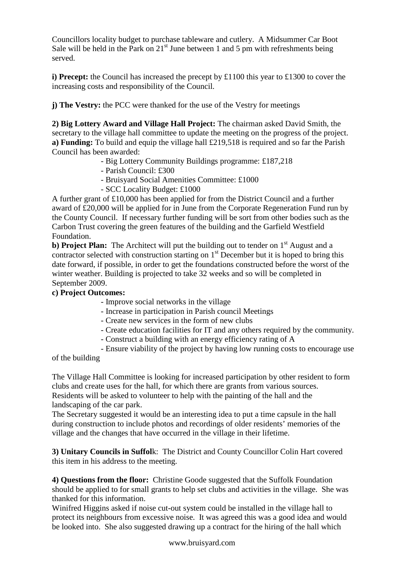Councillors locality budget to purchase tableware and cutlery. A Midsummer Car Boot Sale will be held in the Park on  $21<sup>st</sup>$  June between 1 and 5 pm with refreshments being served.

**i) Precept:** the Council has increased the precept by £1100 this year to £1300 to cover the increasing costs and responsibility of the Council.

**j) The Vestry:** the PCC were thanked for the use of the Vestry for meetings

**2) Big Lottery Award and Village Hall Project:** The chairman asked David Smith, the secretary to the village hall committee to update the meeting on the progress of the project. **a) Funding:** To build and equip the village hall £219,518 is required and so far the Parish Council has been awarded:

- Big Lottery Community Buildings programme: £187,218
- Parish Council: £300
- Bruisyard Social Amenities Committee: £1000
- SCC Locality Budget: £1000

A further grant of £10,000 has been applied for from the District Council and a further award of £20,000 will be applied for in June from the Corporate Regeneration Fund run by the County Council. If necessary further funding will be sort from other bodies such as the Carbon Trust covering the green features of the building and the Garfield Westfield Foundation.

**b) Project Plan:** The Architect will put the building out to tender on 1<sup>st</sup> August and a contractor selected with construction starting on  $1<sup>st</sup>$  December but it is hoped to bring this date forward, if possible, in order to get the foundations constructed before the worst of the winter weather. Building is projected to take 32 weeks and so will be completed in September 2009.

## **c) Project Outcomes:**

- Improve social networks in the village
- Increase in participation in Parish council Meetings
- Create new services in the form of new clubs
- Create education facilities for IT and any others required by the community.
- Construct a building with an energy efficiency rating of A
- Ensure viability of the project by having low running costs to encourage use

of the building

The Village Hall Committee is looking for increased participation by other resident to form clubs and create uses for the hall, for which there are grants from various sources. Residents will be asked to volunteer to help with the painting of the hall and the landscaping of the car park.

The Secretary suggested it would be an interesting idea to put a time capsule in the hall during construction to include photos and recordings of older residents' memories of the village and the changes that have occurred in the village in their lifetime.

**3) Unitary Councils in Suffol**k: The District and County Councillor Colin Hart covered this item in his address to the meeting.

**4) Questions from the floor:** Christine Goode suggested that the Suffolk Foundation should be applied to for small grants to help set clubs and activities in the village. She was thanked for this information.

Winifred Higgins asked if noise cut-out system could be installed in the village hall to protect its neighbours from excessive noise. It was agreed this was a good idea and would be looked into. She also suggested drawing up a contract for the hiring of the hall which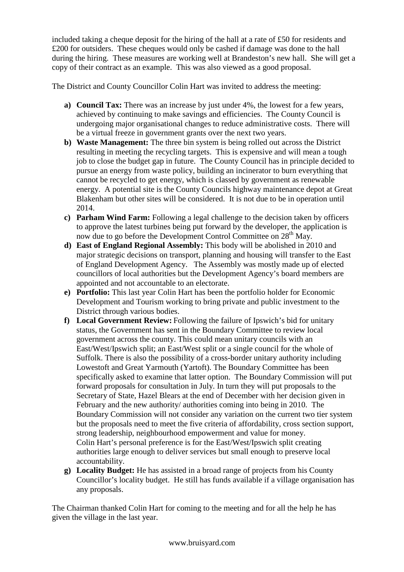included taking a cheque deposit for the hiring of the hall at a rate of £50 for residents and £200 for outsiders. These cheques would only be cashed if damage was done to the hall during the hiring. These measures are working well at Brandeston's new hall. She will get a copy of their contract as an example. This was also viewed as a good proposal.

The District and County Councillor Colin Hart was invited to address the meeting:

- **a) Council Tax:** There was an increase by just under 4%, the lowest for a few years, achieved by continuing to make savings and efficiencies. The County Council is undergoing major organisational changes to reduce administrative costs. There will be a virtual freeze in government grants over the next two years.
- **b) Waste Management:** The three bin system is being rolled out across the District resulting in meeting the recycling targets. This is expensive and will mean a tough job to close the budget gap in future. The County Council has in principle decided to pursue an energy from waste policy, building an incinerator to burn everything that cannot be recycled to get energy, which is classed by government as renewable energy. A potential site is the County Councils highway maintenance depot at Great Blakenham but other sites will be considered. It is not due to be in operation until 2014.
- **c) Parham Wind Farm:** Following a legal challenge to the decision taken by officers to approve the latest turbines being put forward by the developer, the application is now due to go before the Development Control Committee on 28<sup>th</sup> May.
- **d) East of England Regional Assembly:** This body will be abolished in 2010 and major strategic decisions on transport, planning and housing will transfer to the East of England Development Agency. The Assembly was mostly made up of elected councillors of local authorities but the Development Agency's board members are appointed and not accountable to an electorate.
- **e) Portfolio:** This last year Colin Hart has been the portfolio holder for Economic Development and Tourism working to bring private and public investment to the District through various bodies.
- **f) Local Government Review:** Following the failure of Ipswich's bid for unitary status, the Government has sent in the Boundary Committee to review local government across the county. This could mean unitary councils with an East/West/Ipswich split; an East/West split or a single council for the whole of Suffolk. There is also the possibility of a cross-border unitary authority including Lowestoft and Great Yarmouth (Yartoft). The Boundary Committee has been specifically asked to examine that latter option. The Boundary Commission will put forward proposals for consultation in July. In turn they will put proposals to the Secretary of State, Hazel Blears at the end of December with her decision given in February and the new authority/ authorities coming into being in 2010. The Boundary Commission will not consider any variation on the current two tier system but the proposals need to meet the five criteria of affordability, cross section support, strong leadership, neighbourhood empowerment and value for money. Colin Hart's personal preference is for the East/West/Ipswich split creating authorities large enough to deliver services but small enough to preserve local accountability.
- **g) Locality Budget:** He has assisted in a broad range of projects from his County Councillor's locality budget. He still has funds available if a village organisation has any proposals.

The Chairman thanked Colin Hart for coming to the meeting and for all the help he has given the village in the last year.